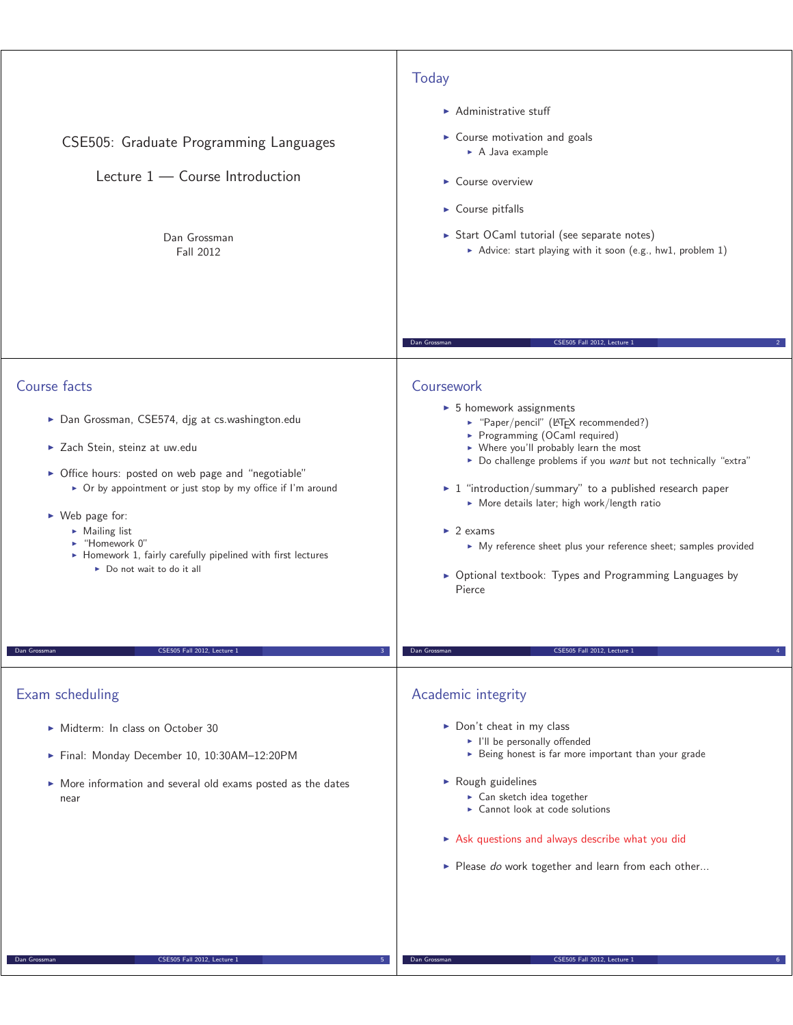| CSE505: Graduate Programming Languages<br>Lecture $1$ – Course Introduction<br>Dan Grossman<br>Fall 2012                                                                                                                                                                                                                                                                                                  | Today<br>$\blacktriangleright$ Administrative stuff<br>$\triangleright$ Course motivation and goals<br>$\triangleright$ A Java example<br>$\triangleright$ Course overview<br>$\triangleright$ Course pitfalls<br>Start OCaml tutorial (see separate notes)<br>Advice: start playing with it soon (e.g., hw1, problem 1)                                                                                                                                                                                                                     |
|-----------------------------------------------------------------------------------------------------------------------------------------------------------------------------------------------------------------------------------------------------------------------------------------------------------------------------------------------------------------------------------------------------------|----------------------------------------------------------------------------------------------------------------------------------------------------------------------------------------------------------------------------------------------------------------------------------------------------------------------------------------------------------------------------------------------------------------------------------------------------------------------------------------------------------------------------------------------|
|                                                                                                                                                                                                                                                                                                                                                                                                           | Dan Grossman<br>CSE505 Fall 2012, Lecture 1                                                                                                                                                                                                                                                                                                                                                                                                                                                                                                  |
| Course facts<br>> Dan Grossman, CSE574, djg at cs.washington.edu<br>> Zach Stein, steinz at uw.edu<br>> Office hours: posted on web page and "negotiable"<br>▶ Or by appointment or just stop by my office if I'm around<br>$\triangleright$ Web page for:<br>$\triangleright$ Mailing list<br>► "Homework 0"<br>• Homework 1, fairly carefully pipelined with first lectures<br>Do not wait to do it all | Coursework<br>$\triangleright$ 5 homework assignments<br>▶ "Paper/pencil" (LATEX recommended?)<br>Programming (OCaml required)<br>▶ Where you'll probably learn the most<br>Do challenge problems if you want but not technically "extra"<br>$\triangleright$ 1 "introduction/summary" to a published research paper<br>More details later; high work/length ratio<br>$\blacktriangleright$ 2 exams<br>• My reference sheet plus your reference sheet; samples provided<br>• Optional textbook: Types and Programming Languages by<br>Pierce |
| CSE505 Fall 2012, Lecture 1<br>Dan Grossman                                                                                                                                                                                                                                                                                                                                                               | Dan Grossman<br>CSE505 Fall 2012, Lecture 1                                                                                                                                                                                                                                                                                                                                                                                                                                                                                                  |
| Exam scheduling<br>Midterm: In class on October 30<br>Final: Monday December 10, 10:30AM-12:20PM<br>• More information and several old exams posted as the dates<br>near                                                                                                                                                                                                                                  | Academic integrity<br>Don't cheat in my class<br>I'll be personally offended<br>Being honest is far more important than your grade<br>Rough guidelines<br>$\triangleright$ Can sketch idea together<br>► Cannot look at code solutions<br>Ask questions and always describe what you did<br>Please do work together and learn from each other                                                                                                                                                                                                |
| CSE505 Fall 2012, Lecture 1<br>Dan Grossman                                                                                                                                                                                                                                                                                                                                                               | Dan Grossmar<br>CSE505 Fall 2012, Lecture                                                                                                                                                                                                                                                                                                                                                                                                                                                                                                    |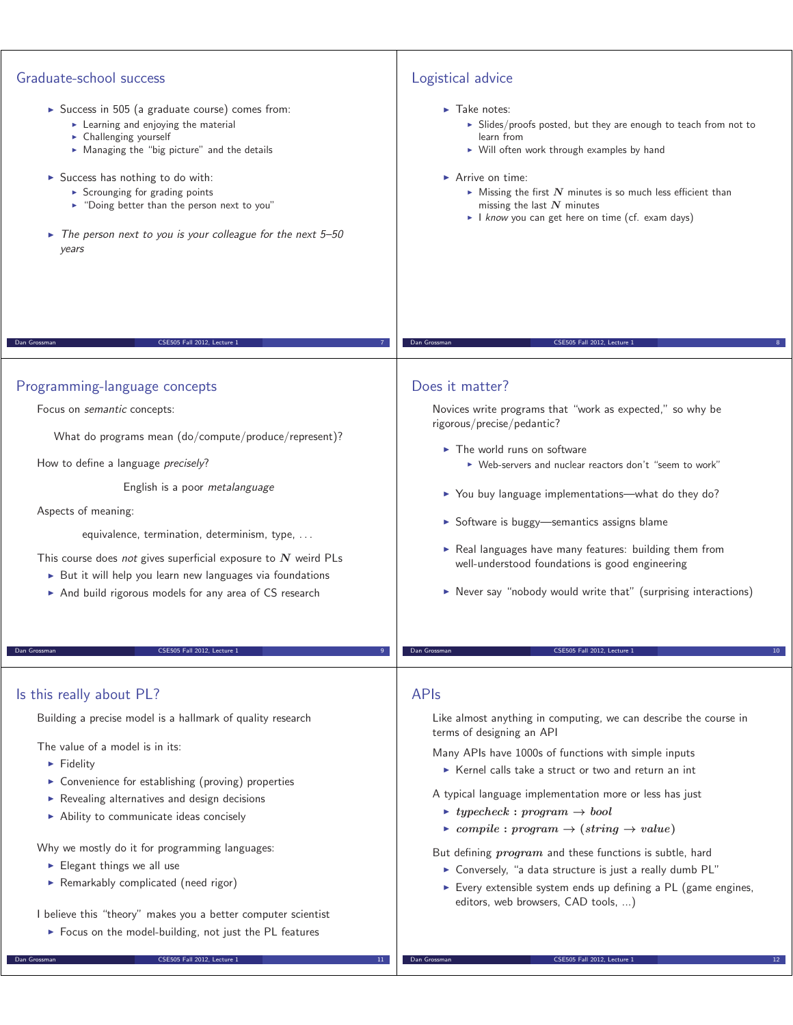## Graduate-school success

- ► Success in 505 (a graduate course) comes from:
	- **Exemble 2** Learning and enjoying the material
	- **EX Challenging yourself**
	- Managing the "big picture" and the details
- Success has nothing to do with:
	- **-** Scrounging for grading points
	- "Doing better than the person next to you"
- $\blacktriangleright$  The person next to you is your colleague for the next 5-50 years

# Logistical advice

#### $\blacktriangleright$  Take notes:

- ► Slides/proofs posted, but they are enough to teach from not to learn from
- Will often work through examples by hand

#### ► Arrive on time:

- $\blacktriangleright$  Missing the first  $N$  minutes is so much less efficient than missing the last *N* minutes
- I know you can get here on time (cf. exam days)

## Does it matter?

Novices write programs that "work as expected," so why be rigorous/precise/pedantic?

Dan Grossman CSE505 Fall 2012, Lecture 1 8

- $\blacktriangleright$  The world runs on software - Web-servers and nuclear reactors don't "seem to work"
- ▶ You buy language implementations—what do they do?
- Software is buggy—semantics assigns blame
- Real languages have many features: building them from well-understood foundations is good engineering
- Never say "nobody would write that" (surprising interactions)

# Programming-language concepts

Focus on semantic concepts:

What do programs mean (do/compute/produce/represent)?

Dan Grossman CSE505 Fall 2012, Lecture 1 7

How to define a language precisely?

English is a poor metalanguage

Aspects of meaning:

Is this really about PL?

**Fidelity** 

The value of a model is in its:

Elegant things we all use

equivalence, termination, determinism, type, . . .

This course does not gives superficial exposure to *N* weird PLs

- But it will help you learn new languages via foundations
- ▶ And build rigorous models for any area of CS research

CSE505 Fall 2012, Lecture

Building a precise model is a hallmark of quality research

**EX Convenience for establishing (proving) properties** - Revealing alternatives and design decisions - Ability to communicate ideas concisely

Why we mostly do it for programming languages:

**•** Remarkably complicated (need rigor)

## APIs

Like almost anything in computing, we can describe the course in terms of designing an API

Many APIs have 1000s of functions with simple inputs

- Kernel calls take a struct or two and return an int

A typical language implementation more or less has just

- *typecheck* **:** *program <sup>→</sup> bool*

**Dan Grossman CSE505 Fall 2012, Lecture 1** 

 $\blacktriangleright$  *compile* **:** *program*  $\rightarrow$  (*string*  $\rightarrow$  *value*)

But defining *program* and these functions is subtle, hard

- ▶ Conversely, "a data structure is just a really dumb PL"
- ► Every extensible system ends up defining a PL (game engines, editors, web browsers, CAD tools, ...)

### I believe this "theory" makes you a better computer scientist

- Focus on the model-building, not just the PL features

Dan Grossman CSE505 Fall 2012, Lecture 1 11

**Dan Grossman** CSE505 Fall 2012, Lecture 1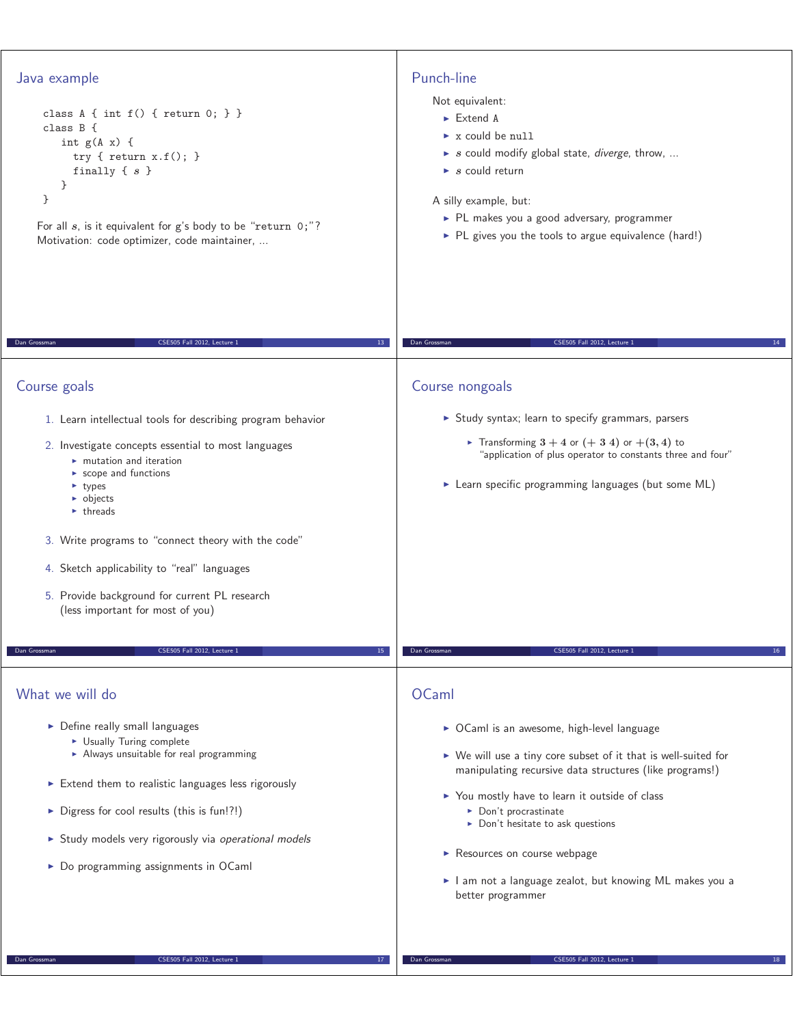| Punch-line<br>Not equivalent:<br>$\blacktriangleright$ Extend A<br>x could be null<br>$\triangleright$ s could modify global state, <i>diverge</i> , throw,<br>$\triangleright$ s could return<br>A silly example, but:<br>> PL makes you a good adversary, programmer<br>> PL gives you the tools to argue equivalence (hard!)                                                                                                              |
|----------------------------------------------------------------------------------------------------------------------------------------------------------------------------------------------------------------------------------------------------------------------------------------------------------------------------------------------------------------------------------------------------------------------------------------------|
| CSE505 Fall 2012, Lecture 1<br>Dan Grossman<br>14                                                                                                                                                                                                                                                                                                                                                                                            |
| Course nongoals                                                                                                                                                                                                                                                                                                                                                                                                                              |
| Study syntax; learn to specify grammars, parsers<br>Fransforming $3+4$ or $(+3\ 4)$ or $+(3,4)$ to<br>"application of plus operator to constants three and four"<br>Learn specific programming languages (but some ML)                                                                                                                                                                                                                       |
| CSE505 Fall 2012, Lecture 1                                                                                                                                                                                                                                                                                                                                                                                                                  |
| Dan Grossman<br>16                                                                                                                                                                                                                                                                                                                                                                                                                           |
| OCaml<br>▶ OCaml is an awesome, high-level language<br>▶ We will use a tiny core subset of it that is well-suited for<br>manipulating recursive data structures (like programs!)<br>▶ You mostly have to learn it outside of class<br>$\triangleright$ Don't procrastinate<br>$\triangleright$ Don't hesitate to ask questions<br>Resources on course webpage<br>I am not a language zealot, but knowing ML makes you a<br>better programmer |
|                                                                                                                                                                                                                                                                                                                                                                                                                                              |

**Dan Grossman** CSE505 Fall 2012, Lecture 1 18 18 18 18 18

**Dan Grossman** CSE505 Fall 2012, Lecture 1 17 17